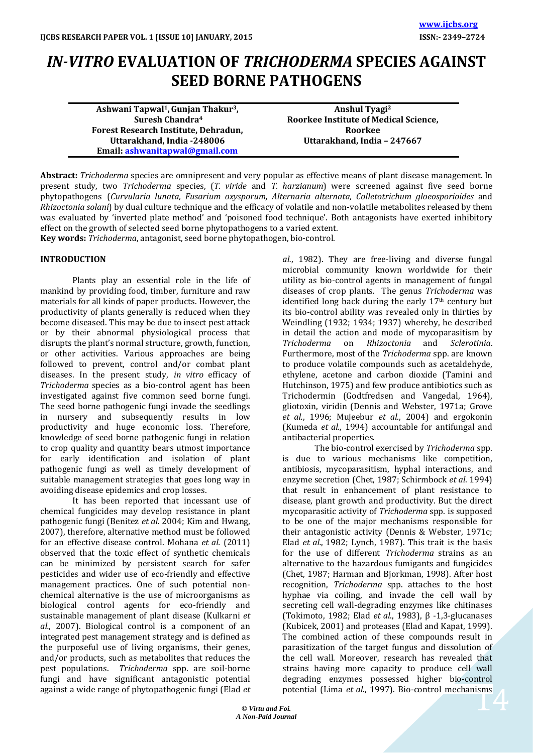# *IN-VITRO* **EVALUATION OF** *TRICHODERMA* **SPECIES AGAINST SEED BORNE PATHOGENS**

| Ashwani Tapwal <sup>1</sup> , Gunjan Thakur <sup>3</sup> , | Anshul Tyagi <sup>2</sup>             |
|------------------------------------------------------------|---------------------------------------|
| Suresh Chandra <sup>4</sup>                                | Roorkee Institute of Medical Science, |
| Forest Research Institute, Dehradun,                       | Roorkee                               |
| Uttarakhand, India -248006                                 | Uttarakhand, India - 247667           |
| Email: ashwanitapwal@gmail.com                             |                                       |

**Abstract:** *Trichoderma* species are omnipresent and very popular as effective means of plant disease management. In present study, two *Trichoderma* species, (*T. viride* and *T. harzianum*) were screened against five seed borne phytopathogens (*Curvularia lunata, Fusarium oxysporum, Alternaria alternata, Colletotrichum gloeosporioides* and *Rhizoctonia solani*) by dual culture technique and the efficacy of volatile and non-volatile metabolites released by them was evaluated by 'inverted plate method' and 'poisoned food technique'. Both antagonists have exerted inhibitory effect on the growth of selected seed borne phytopathogens to a varied extent.

**Key words:** *Trichoderma*, antagonist, seed borne phytopathogen, bio-control.

## **INTRODUCTION**

Plants play an essential role in the life of mankind by providing food, timber, furniture and raw materials for all kinds of paper products. However, the productivity of plants generally is reduced when they become diseased. This may be due to insect pest attack or by their abnormal physiological process that disrupts the plant's normal structure, growth, function, or other activities. Various approaches are being followed to prevent, control and/or combat plant diseases. In the present study, *in vitro* efficacy of *Trichoderma* species as a bio-control agent has been investigated against five common seed borne fungi. The seed borne pathogenic fungi invade the seedlings in nursery and subsequently results in low productivity and huge economic loss. Therefore, knowledge of seed borne pathogenic fungi in relation to crop quality and quantity bears utmost importance for early identification and isolation of plant pathogenic fungi as well as timely development of suitable management strategies that goes long way in avoiding disease epidemics and crop losses.

It has been reported that incessant use of chemical fungicides may develop resistance in plant pathogenic fungi (Benitez *et al.* 2004; Kim and Hwang, 2007), therefore, alternative method must be followed for an effective disease control. Mohana *et al.* (2011) observed that the toxic effect of synthetic chemicals can be minimized by persistent search for safer pesticides and wider use of eco-friendly and effective management practices. One of such potential nonchemical alternative is the use of microorganisms as biological control agents for eco-friendly and sustainable management of plant disease (Kulkarni *et al.*, 2007). Biological control is a component of an integrated pest management strategy and is defined as the purposeful use of living organisms, their genes, and/or products, such as metabolites that reduces the pest populations. *Trichoderma* spp. are soil-borne fungi and have significant antagonistic potential against a wide range of phytopathogenic fungi (Elad *et*  *al.*, 1982). They are free-living and diverse fungal microbial community known worldwide for their utility as bio-control agents in management of fungal diseases of crop plants. The genus *Trichoderma* was identified long back during the early  $17<sup>th</sup>$  century but its bio-control ability was revealed only in thirties by Weindling (1932; 1934; 1937) whereby, he described in detail the action and mode of mycoparasitism by<br>Trichoderma on Rhizoctonia and Sclerotinia *Trichoderma* on *Rhizoctonia* and *Sclerotinia*. Furthermore, most of the *Trichoderma* spp. are known to produce volatile compounds such as acetaldehyde, ethylene, acetone and carbon dioxide (Tamini and Hutchinson, 1975) and few produce antibiotics such as Trichodermin (Godtfredsen and Vangedal, 1964), gliotoxin, viridin (Dennis and Webster, 1971a; Grove *et al.*, 1996; Mujeebur *et al.*, 2004) and ergokonin (Kumeda *et al.*, 1994) accountable for antifungal and antibacterial properties.

potential (Lima *et al.*, 1997). Bio-control mechanisms<br>
<sub>1916</sub><br>
<sub>1977</sub> The bio-control exercised by *Trichoderma* spp. is due to various mechanisms like competition, antibiosis, mycoparasitism, hyphal interactions, and enzyme secretion (Chet, 1987; Schirmbock *et al*. 1994) that result in enhancement of plant resistance to disease, plant growth and productivity. But the direct mycoparasitic activity of *Trichoderma* spp. is supposed to be one of the major mechanisms responsible for their antagonistic activity (Dennis & Webster, 1971c; Elad *et al.*, 1982; Lynch, 1987). This trait is the basis for the use of different *Trichoderma* strains as an alternative to the hazardous fumigants and fungicides (Chet, 1987; Harman and Bjorkman, 1998). After host recognition, *Trichoderma* spp. attaches to the host hyphae via coiling, and invade the cell wall by secreting cell wall-degrading enzymes like chitinases (Tokimoto, 1982; Elad *et al*., 1983), β -1,3-glucanases (Kubicek, 2001) and proteases (Elad and Kapat, 1999). The combined action of these compounds result in parasitization of the target fungus and dissolution of the cell wall. Moreover, research has revealed that strains having more capacity to produce cell wall degrading enzymes possessed higher bio-control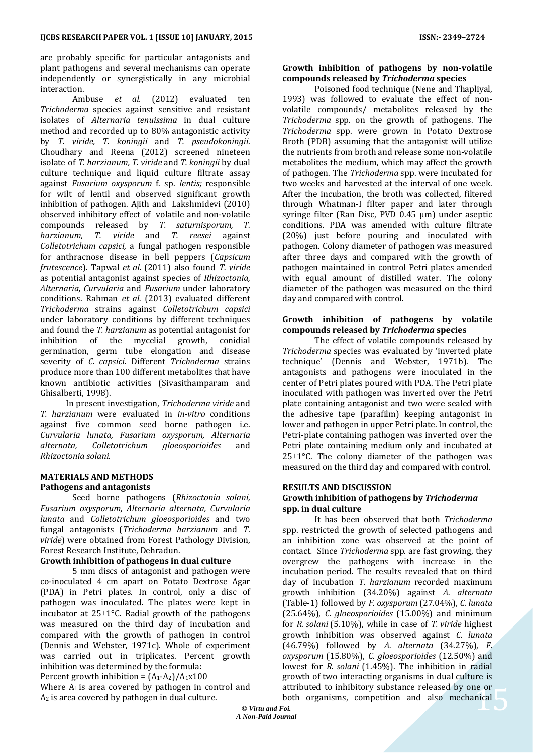are probably specific for particular antagonists and plant pathogens and several mechanisms can operate independently or synergistically in any microbial interaction.

Ambuse *et al.* (2012) evaluated ten *Trichoderma* species against sensitive and resistant isolates of *Alternaria tenuissima* in dual culture method and recorded up to 80% antagonistic activity by *T. viride, T. koningii* and *T. pseudokoningii*. Choudhary and Reena (2012) screened nineteen isolate of *T. harzianum, T. viride* and *T. koningii* by dual culture technique and liquid culture filtrate assay against *Fusarium oxysporum* f. sp. *lentis;* responsible for wilt of lentil and observed significant growth inhibition of pathogen. Ajith and Lakshmidevi (2010) observed inhibitory effect of volatile and non-volatile compounds released by *T. saturnisporum, T. harzianum, T. viride* and *T. reesei* against *Colletotrichum capsici,* a fungal pathogen responsible for anthracnose disease in bell peppers (*Capsicum frutescence*). Tapwal *et al.* (2011) also found *T. viride* as potential antagonist against species of *Rhizoctonia, Alternaria, Curvularia* and *Fusarium* under laboratory conditions. Rahman *et al.* (2013) evaluated different *Trichoderma* strains against *Colletotrichum capsici* under laboratory conditions by different techniques and found the *T. harzianum* as potential antagonist for inhibition of the mycelial growth, conidial germination, germ tube elongation and disease severity of *C. capsici*. Different *Trichoderma* strains produce more than 100 different metabolites that have known antibiotic activities (Sivasithamparam and Ghisalberti, 1998).

 In present investigation, *Trichoderma viride* and *T. harzianum* were evaluated in *in-vitro* conditions against five common seed borne pathogen i.e. *Curvularia lunata, Fusarium oxysporum, Alternaria alternata, Colletotrichum gloeosporioides* and *Rhizoctonia solani.*

### **MATERIALS AND METHODS Pathogens and antagonists**

Seed borne pathogens (*Rhizoctonia solani, Fusarium oxysporum, Alternaria alternata, Curvularia lunata* and *Colletotrichum gloeosporioides* and two fungal antagonists (*Trichoderma harzianum* and *T. viride*) were obtained from Forest Pathology Division, Forest Research Institute, Dehradun.

## **Growth inhibition of pathogens in dual culture**

5 mm discs of antagonist and pathogen were co-inoculated 4 cm apart on Potato Dextrose Agar (PDA) in Petri plates. In control, only a disc of pathogen was inoculated. The plates were kept in incubator at  $25\pm1\degree$ C. Radial growth of the pathogens was measured on the third day of incubation and compared with the growth of pathogen in control (Dennis and Webster, 1971c). Whole of experiment was carried out in triplicates. Percent growth inhibition was determined by the formula:

Percent growth inhibition =  $(A_1-A_2)/A_1x100$ 

Where  $A_1$  is area covered by pathogen in control and A<sup>2</sup> is area covered by pathogen in dual culture.

#### **Growth inhibition of pathogens by non-volatile compounds released by** *Trichoderma* **species**

Poisoned food technique (Nene and Thapliyal, 1993) was followed to evaluate the effect of nonvolatile compounds/ metabolites released by the *Trichoderma* spp. on the growth of pathogens. The *Trichoderma* spp. were grown in Potato Dextrose Broth (PDB) assuming that the antagonist will utilize the nutrients from broth and release some non-volatile metabolites the medium, which may affect the growth of pathogen. The *Trichoderma* spp. were incubated for two weeks and harvested at the interval of one week. After the incubation, the broth was collected, filtered through Whatman-I filter paper and later through syringe filter (Ran Disc, PVD 0.45 µm) under aseptic conditions. PDA was amended with culture filtrate (20%) just before pouring and inoculated with pathogen. Colony diameter of pathogen was measured after three days and compared with the growth of pathogen maintained in control Petri plates amended with equal amount of distilled water. The colony diameter of the pathogen was measured on the third day and compared with control.

### **Growth inhibition of pathogens by volatile compounds released by** *Trichoderma* **species**

The effect of volatile compounds released by *Trichoderma* species was evaluated by 'inverted plate technique' (Dennis and Webster, 1971b). The antagonists and pathogens were inoculated in the center of Petri plates poured with PDA. The Petri plate inoculated with pathogen was inverted over the Petri plate containing antagonist and two were sealed with the adhesive tape (parafilm) keeping antagonist in lower and pathogen in upper Petri plate. In control, the Petri-plate containing pathogen was inverted over the Petri plate containing medium only and incubated at  $25\pm1^{\circ}$ C. The colony diameter of the pathogen was measured on the third day and compared with control.

#### **RESULTS AND DISCUSSION**

#### **Growth inhibition of pathogens by** *Trichoderma*  **spp. in dual culture**

ne or<br>nical 5 It has been observed that both *Trichoderma* spp. restricted the growth of selected pathogens and an inhibition zone was observed at the point of contact*.* Since *Trichoderma* spp. are fast growing, they overgrew the pathogens with increase in the incubation period. The results revealed that on third day of incubation *T. harzianum* recorded maximum growth inhibition (34.20%) against *A. alternata*  (Table-1) followed by *F. oxysporum* (27.04%), *C. lunata* (25.64%), *C. gloeosporioides* (15.00%) and minimum for *R. solani* (5.10%), while in case of *T. viride* highest growth inhibition was observed against *C. lunata* (46.79%) followed by *A. alternata* (34.27%), *F. oxysporum* (15.80%), *C. gloeosporioides* (12.50%) and lowest for *R. solani* (1.45%). The inhibition in radial growth of two interacting organisms in dual culture is attributed to inhibitory substance released by one or both organisms, competition and also mechanical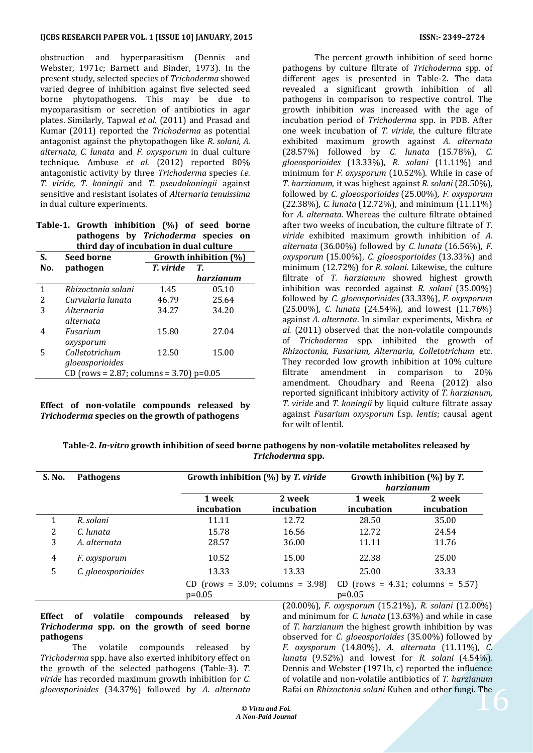obstruction and hyperparasitism (Dennis and Webster, 1971c; Barnett and Binder, 1973). In the present study, selected species of *Trichoderma* showed varied degree of inhibition against five selected seed borne phytopathogens. This may be due to mycoparasitism or secretion of antibiotics in agar plates. Similarly, Tapwal *et al.* (2011) and Prasad and Kumar (2011) reported the *Trichoderma* as potential antagonist against the phytopathogen like *R. solani, A. alternata, C. lunata* and *F. oxysporum* in dual culture technique. Ambuse *et al.* (2012) reported 80% antagonistic activity by three *Trichoderma* species *i.e. T. viride, T. koningii* and *T. pseudokoningii* against sensitive and resistant isolates of *Alternaria tenuissima*  in dual culture experiments.

|                                         | Table-1. Growth inhibition (%) of seed borne |  |  |  |  |  |  |
|-----------------------------------------|----------------------------------------------|--|--|--|--|--|--|
|                                         | pathogens by Trichoderma species on          |  |  |  |  |  |  |
| third day of incubation in dual culture |                                              |  |  |  |  |  |  |

| S.  | <b>Seed borne</b>                         | Growth inhibition (%) |           |  |
|-----|-------------------------------------------|-----------------------|-----------|--|
| No. | pathogen                                  | T. viride<br>T.       |           |  |
|     |                                           |                       | harzianum |  |
| 1   | Rhizoctonia solani                        | 1.45                  | 05.10     |  |
| 2   | Curvularia lunata                         | 46.79                 | 25.64     |  |
| 3   | Alternaria                                | 34.27                 | 34.20     |  |
|     | alternata                                 |                       |           |  |
| 4   | Fusarium                                  | 15.80                 | 27.04     |  |
|     | oxysporum                                 |                       |           |  |
| 5   | Colletotrichum                            | 12.50                 | 15.00     |  |
|     | gloeosporioides                           |                       |           |  |
|     | CD (rows = 2.87; columns = 3.70) $p=0.05$ |                       |           |  |

## **Effect of non-volatile compounds released by**  *Trichoderma* **species on the growth of pathogens**

The percent growth inhibition of seed borne pathogens by culture filtrate of *Trichoderma* spp. of different ages is presented in Table-2. The data revealed a significant growth inhibition of all pathogens in comparison to respective control. The growth inhibition was increased with the age of incubation period of *Trichoderma* spp. in PDB. After one week incubation of *T. viride*, the culture filtrate exhibited maximum growth against *A. alternata*  (28.57%) followed by *C. lunata* (15.78%), *C. gloeosporioides* (13.33%), *R. solani* (11.11%) and minimum for *F. oxysporum* (10.52%). While in case of *T. harzianum*, it was highest against *R. solani* (28.50%)*,* followed by *C. gloeosporioides* (25.00%)*, F. oxysporum*  (22.38%), *C. lunata* (12.72%), and minimum (11.11%) for *A. alternata.* Whereas the culture filtrate obtained after two weeks of incubation, the culture filtrate of *T. viride* exhibited maximum growth inhibition of *A. alternata* (36.00%) followed by *C. lunata* (16.56%), *F. oxysporum* (15.00%), *C. gloeosporioides* (13.33%) and minimum (12.72%) for *R. solani.* Likewise, the culture filtrate of *T. harzianum* showed highest growth inhibition was recorded against *R. solani* (35.00%) followed by *C. gloeosporioides* (33.33%), *F. oxysporum*  (25.00%)*, C. lunata* (24.54%), and lowest (11.76%) against *A. alternata*. In similar experiments, Mishra *et al.* (2011) observed that the non-volatile compounds of *Trichoderma* spp. inhibited the growth of *Rhizoctonia, Fusarium, Alternaria, Colletotrichum* etc. They recorded low growth inhibition at 10% culture filtrate amendment in comparison to 20% amendment. Choudhary and Reena (2012) also reported significant inhibitory activity of *T. harzianum, T. viride* and *T. koningii* by liquid culture filtrate assay against *Fusarium oxysporum* f.sp. *lentis*; causal agent for wilt of lentil.

**Table-2.** *In-vitro* **growth inhibition of seed borne pathogens by non-volatile metabolites released by** *Trichoderma* **spp.**

| Pathogens           |                      | Growth inhibition $(\%)$ by T. viride |                                        | Growth inhibition $(\%)$ by T.<br>harzianum |  |  |
|---------------------|----------------------|---------------------------------------|----------------------------------------|---------------------------------------------|--|--|
|                     | 1 week<br>incubation | 2 week<br>incubation                  | 1 week<br>incubation                   | 2 week<br>incubation                        |  |  |
| R. solani           | 11.11                | 12.72                                 | 28.50                                  | 35.00                                       |  |  |
| C. lunata           | 15.78                | 16.56                                 | 12.72                                  | 24.54                                       |  |  |
| A. alternata        | 28.57                | 36.00                                 | 11.11                                  | 11.76                                       |  |  |
| <i>F.</i> oxysporum | 10.52                | 15.00                                 | 22.38                                  | 25.00                                       |  |  |
| C. gloeosporioides  | 13.33                | 13.33                                 | 25.00                                  | 33.33                                       |  |  |
|                     |                      |                                       | CD (rows = $4.31$ ; columns = $5.57$ ) |                                             |  |  |
|                     |                      | $p=0.05$                              | $CD$ (rows = 3.09; columns = 3.98)     | $p=0.05$                                    |  |  |

## **Effect of volatile compounds released by**  *Trichoderma* **spp. on the growth of seed borne pathogens**

The volatile compounds released by *Trichoderma* spp. have also exerted inhibitory effect on the growth of the selected pathogens (Table-3). *T. viride* has recorded maximum growth inhibition for *C. gloeosporioides* (34.37%) followed by *A. alternata* 

Rafai on *Rhizoctonia solani* Kuhen and other fungi. The<br>
<sup>7</sup>0i.<br>
<sub>1973</sub>. (20.00%), *F. oxysporum* (15.21%), *R. solani* (12.00%) and minimum for *C. lunata* (13.63%) and while in case of *T. harzianum* the highest growth inhibition by was observed for *C. gloeosporioides* (35.00%) followed by *F. oxysporum* (14.80%), *A. alternata* (11.11%), *C. lunata* (9.52%) and lowest for *R. solani* (4.54%). Dennis and Webster (1971b, c) reported the influence of volatile and non-volatile antibiotics of *T. harzianum*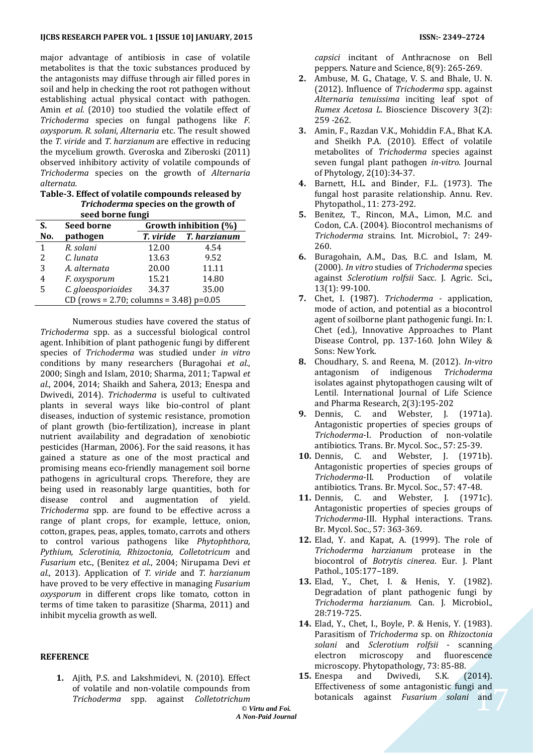major advantage of antibiosis in case of volatile metabolites is that the toxic substances produced by the antagonists may diffuse through air filled pores in soil and help in checking the root rot pathogen without establishing actual physical contact with pathogen. Amin *et al.* (2010) too studied the volatile effect of *Trichoderma* species on fungal pathogens like *F. oxysporum. R. solani, Alternaria* etc. The result showed the *T. viride* and *T. harzianum* are effective in reducing the mycelium growth. Gveroska and Ziberoski (2011) observed inhibitory activity of volatile compounds of *Trichoderma* species on the growth of *Alternaria alternata.* 

**Table-3. Effect of volatile compounds released by**  *Trichoderma* **species on the growth of seed borne fungi**

| S.                                        | <b>Seed borne</b>  | Growth inhibition (%) |              |  |  |
|-------------------------------------------|--------------------|-----------------------|--------------|--|--|
| No.                                       | pathogen           | T. viride             | T. harzianum |  |  |
| 1                                         | R. solani          | 12.00                 | 4.54         |  |  |
| 2                                         | C. lunata          | 13.63                 | 9.52         |  |  |
| 3                                         | A. alternata       | 20.00                 | 11.11        |  |  |
| 4                                         | F. oxysporum       | 15.21                 | 14.80        |  |  |
| 5                                         | C. gloeosporioides | 34.37                 | 35.00        |  |  |
| CD (rows = 2.70; columns = 3.48) $p=0.05$ |                    |                       |              |  |  |

Numerous studies have covered the status of *Trichoderma* spp. as a successful biological control agent. Inhibition of plant pathogenic fungi by different species of *Trichoderma* was studied under *in vitro*  conditions by many researchers (Buragohai *et al.*, 2000; Singh and Islam, 2010; Sharma, 2011; Tapwal *et al.*, 2004, 2014; Shaikh and Sahera*,* 2013; Enespa and Dwivedi, 2014). *Trichoderma* is useful to cultivated plants in several ways like bio-control of plant diseases, induction of systemic resistance, promotion of plant growth (bio-fertilization), increase in plant nutrient availability and degradation of xenobiotic pesticides (Harman, 2006). For the said reasons, it has gained a stature as one of the most practical and promising means eco-friendly management soil borne pathogens in agricultural crops. Therefore, they are being used in reasonably large quantities, both for disease control and augmentation of yield. *Trichoderma* spp. are found to be effective across a range of plant crops, for example, lettuce, onion, cotton, grapes, peas, apples, tomato, carrots and others to control various pathogens like *Phytophthora, Pythium, Sclerotinia, Rhizoctonia, Colletotricum* and *Fusarium* etc., (Benitez *et al*., 2004; Nirupama Devi *et al.*, 2013). Application of *T. viride* and *T. harzianum* have proved to be very effective in managing *Fusarium oxysporum* in different crops like tomato, cotton in terms of time taken to parasitize (Sharma, 2011) and inhibit mycelia growth as well.

#### **REFERENCE**

**1.** Ajith, P.S. and Lakshmidevi, N. (2010). Effect of volatile and non-volatile compounds from *Trichoderma* spp. against *Colletotrichum* 

*capsici* incitant of Anthracnose on Bell peppers. Nature and Science, 8(9): 265‐269.

- **2.** Ambuse, M. G., Chatage, V. S. and Bhale, U. N. (2012). Influence of *Trichoderma* spp. against *Alternaria tenuissima* inciting leaf spot of *Rumex Acetosa L.* Bioscience Discovery 3(2): 259 -262.
- **3.** Amin, F., Razdan V.K., Mohiddin F.A., Bhat K.A. and Sheikh P.A. (2010). Effect of volatile metabolites of *Trichoderma* species against seven fungal plant pathogen *in-vitro.* Journal of Phytology*,* 2(10):34-37.
- **4.** Barnett, H.L. and Binder, F.L. (1973). The fungal host parasite relationship. Annu. Rev. Phytopathol., 11: 273-292.
- **5.** Benitez, T., Rincon, M.A., Limon, M.C. and Codon, C.A. (2004). Biocontrol mechanisms of *Trichoderma* strains. Int. Microbiol., 7: 249- 260.
- **6.** Buragohain, A.M., Das, B.C. and Islam, M. (2000). *In vitro* studies of *Trichoderma* species against *Sclerotium rolfsii* Sacc*.* J. Agric. Sci., 13(1): 99-100.
- **7.** Chet, I. (1987). *Trichoderma* application, mode of action, and potential as a biocontrol agent of soilborne plant pathogenic fungi. In: I. Chet (ed.), Innovative Approaches to Plant Disease Control, pp. 137-160. John Wiley & Sons: New York.
- **8.** Choudhary, S. and Reena, M. (2012). *In-vitro* antagonism of indigenous *Trichoderma* isolates against phytopathogen causing wilt of Lentil. International Journal of Life Science and Pharma Research, 2(3):195-202
- **9.** Dennis, C. and Webster, J. (1971a). Antagonistic properties of species groups of *Trichoderma*-I. Production of non-volatile antibiotics. Trans. Br. Mycol. Soc., 57: 25-39.
- **10.** Dennis, C. and Webster, J. (1971b). Antagonistic properties of species groups of *Trichoderma*-II. Production of volatile antibiotics. Trans. Br. Mycol. Soc., 57: 47-48.
- **11.** Dennis, C. and Webster, J. (1971c). Antagonistic properties of species groups of *Trichoderma*-III. Hyphal interactions. Trans. Br. Mycol. Soc., 57: 363-369.
- **12.** Elad, Y. and Kapat, A. (1999). The role of *Trichoderma harzianum* protease in the biocontrol of *Botrytis cinerea*. Eur. J. Plant Pathol., 105:177–189.
- **13.** Elad, Y., Chet, I. & Henis, Y. (1982). Degradation of plant pathogenic fungi by *Trichoderma harzianum.* Can. J. Microbiol., 28:719-725.
- **14.** Elad, Y., Chet, I., Boyle, P. & Henis, Y. (1983). Parasitism of *Trichoderma* sp. on *Rhizoctonia solani* and *Sclerotium rolfsii* - scanning electron microscopy and fluorescence microscopy. Phytopathology, 73: 85-88.
- $\frac{and}{end}$ **15.** Enespa and Dwivedi, S.K. (2014). Effectiveness of some antagonistic fungi and botanicals against *Fusarium solani* and

**©** *Virtu and Foi. A Non-Paid Journal*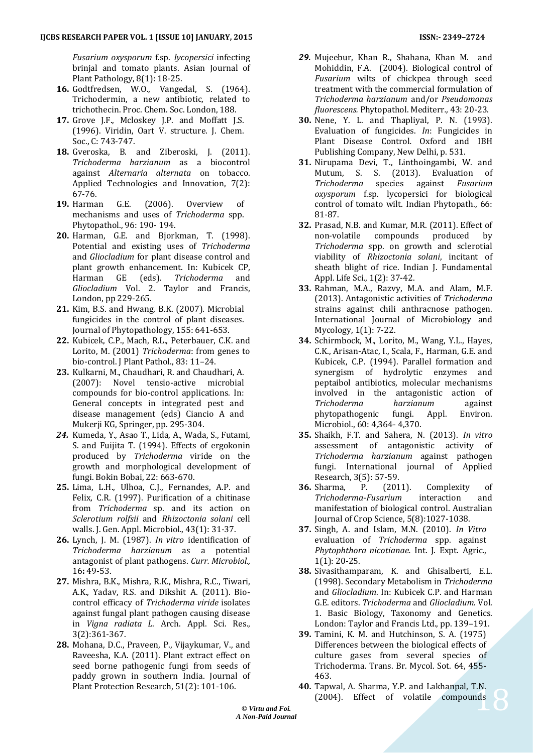*Fusarium oxysporum* f.sp. *lycopersici* infecting brinjal and tomato plants. Asian Journal of Plant Pathology, 8(1): 18-25.

- **16.** Godtfredsen, W.O., Vangedal, S. (1964). Trichodermin, a new antibiotic, related to trichothecin. Proc. Chem. Soc. London, 188.
- **17.** Grove J.F., Mcloskey J.P. and Moffatt J.S. (1996). Viridin, Oart V. structure. J. Chem. Soc., C: 743-747.
- **18.** Gveroska, B. and Ziberoski, J. (2011). *Trichoderma harzianum* as a biocontrol against *Alternaria alternata* on tobacco. Applied Technologies and Innovation, 7(2): 67-76.
- **19.** Harman G.E. (2006). Overview of mechanisms and uses of *Trichoderma* spp. Phytopathol., 96: 190- 194.
- **20.** Harman, G.E. and Bjorkman, T. (1998). Potential and existing uses of *Trichoderma* and *Gliocladium* for plant disease control and plant growth enhancement. In: Kubicek CP, Harman GE (eds). *Trichoderma* and *Gliocladium* Vol. 2. Taylor and Francis, London, pp 229-265.
- **21.** Kim, B.S. and Hwang, B.K. (2007). Microbial fungicides in the control of plant diseases. Journal of Phytopathology, 155: 641-653.
- **22.** Kubicek, C.P., Mach, R.L., Peterbauer, C.K. and Lorito, M. (2001) *Trichoderma*: from genes to bio-control. J Plant Pathol., 83: 11–24.
- **23.** Kulkarni, M., Chaudhari, R. and Chaudhari, A. (2007): Novel tensio-active microbial compounds for bio-control applications. In: General concepts in integrated pest and disease management (eds) Ciancio A and Mukerji KG, Springer, pp. 295-304.
- *24.* Kumeda, Y., Asao T., Lida, A., Wada, S., Futami, S. and Fuijita T. (1994). Effects of ergokonin produced by *Trichoderma* viride on the growth and morphological development of fungi. Bokin Bobai, 22: 663-670.
- **25.** Lima, L.H., Ulhoa, C.J., Fernandes, A.P. and Felix, C.R. (1997). Purification of a chitinase from *Trichoderma* sp. and its action on *Sclerotium rolfsii* and *Rhizoctonia solani* cell walls. J. Gen. Appl. Microbiol., 43(1): 31-37.
- **26.** Lynch, J. M. (1987). *In vitro* identification of *Trichoderma harzianum* as a potential antagonist of plant pathogens. *Curr. Microbiol.,* 16**:** 49-53.
- **27.** Mishra, B.K., Mishra, R.K., Mishra, R.C., Tiwari, A.K., Yadav, R.S. and Dikshit A. (2011). Biocontrol efficacy of *Trichoderma viride* isolates against fungal plant pathogen causing disease in *Vigna radiata L*. Arch. Appl. Sci. Res., 3(2):361-367.
- **28.** Mohana, D.C., Praveen, P., Vijaykumar, V., and Raveesha, K.A. (2011). Plant extract effect on seed borne pathogenic fungi from seeds of paddy grown in southern India. Journal of Plant Protection Research, 51(2): 101-106.
- *29.* Mujeebur, Khan R., Shahana, Khan M. and Mohiddin, F.A. (2004). Biological control of *Fusarium* wilts of chickpea through seed treatment with the commercial formulation of *Trichoderma harzianum* and/or *Pseudomonas fluorescens.* Phytopathol. Mediterr*.,* 43: 20-23.
- **30.** Nene, Y. L. and Thapliyal, P. N. (1993). Evaluation of fungicides. *In*: Fungicides in Plant Disease Control*.* Oxford and IBH Publishing Company, New Delhi, p. 531.
- **31.** Nirupama Devi, T., Linthoingambi, W. and Mutum, S. S. (2013). Evaluation of *Trichoderma* species against *Fusarium oxysporum* f.sp. lycopersici for biological control of tomato wilt. Indian Phytopath., 66: 81-87.
- **32.** Prasad, N.B. and Kumar, M.R. (2011). Effect of non-volatile compounds produced by *Trichoderma* spp. on growth and sclerotial viability of *Rhizoctonia solani*, incitant of sheath blight of rice. Indian J. Fundamental Appl. Life Sci., 1(2): 37-42.
- **33.** Rahman, M.A., Razvy, M.A. and Alam, M.F. (2013). Antagonistic activities of *Trichoderma* strains against chili anthracnose pathogen. International Journal of Microbiology and Mycology, 1(1): 7-22.
- **34.** Schirmbock, M., Lorito, M., Wang, Y.L., Hayes, C.K., Arisan-Atac, I., Scala, F., Harman, G.E. and Kubicek, C.P. (1994). Parallel formation and synergism of hydrolytic enzymes and peptaibol antibiotics, molecular mechanisms involved in the antagonistic action of *Trichoderma harzianum* against phytopathogenic fungi. Appl. Environ. Microbiol., 60: 4,364- 4,370.
- **35.** Shaikh, F.T. and Sahera, N. (2013). *In vitro* assessment of antagonistic activity of *Trichoderma harzianum* against pathogen fungi. International journal of Applied Research, 3(5): 57-59.
- **36.** Sharma, P. (2011). Complexity of *Trichoderma*-*Fusarium* interaction and manifestation of biological control. Australian Journal of Crop Science, 5(8):1027-1038.
- **37.** Singh, A. and Islam, M.N. (2010). *In Vitro* evaluation of *Trichoderma* spp. against *Phytophthora nicotianae.* Int. J. Expt. Agric., 1(1): 20-25.
- **38.** Sivasithamparam, K. and Ghisalberti, E.L. (1998). Secondary Metabolism in *Trichoderma* and *Gliocladium*. In: Kubicek C.P. and Harman G.E. editors. *Trichoderma* and *Gliocladium*. Vol. 1. Basic Biology, Taxonomy and Genetics. London: Taylor and Francis Ltd., pp. 139–191.
- **39.** Tamini, K. M. and Hutchinson, S. A. (1975) Differences between the biological effects of culture gases from several species of Trichoderma. Trans. Br. Mycol. Sot. 64, 455- 463.
- $\frac{1}{18}$ **40.** Tapwal, A. Sharma, Y.P. and Lakhanpal, T.N. (2004). Effect of volatile compounds